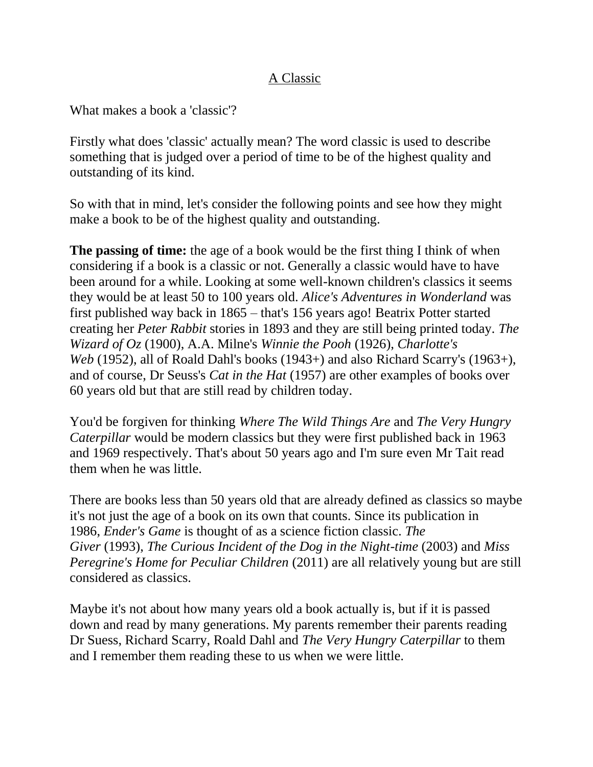## A Classic

What makes a book a 'classic'?

Firstly what does 'classic' actually mean? The word classic is used to describe something that is judged over a period of time to be of the highest quality and outstanding of its kind.

So with that in mind, let's consider the following points and see how they might make a book to be of the highest quality and outstanding.

**The passing of time:** the age of a book would be the first thing I think of when considering if a book is a classic or not. Generally a classic would have to have been around for a while. Looking at some well-known children's classics it seems they would be at least 50 to 100 years old. *Alice's Adventures in Wonderland* was first published way back in 1865 – that's 156 years ago! Beatrix Potter started creating her *Peter Rabbit* stories in 1893 and they are still being printed today. *The Wizard of Oz* (1900), A.A. Milne's *Winnie the Pooh* (1926), *Charlotte's Web* (1952), all of Roald Dahl's books (1943+) and also Richard Scarry's (1963+), and of course, Dr Seuss's *Cat in the Hat* (1957) are other examples of books over 60 years old but that are still read by children today.

You'd be forgiven for thinking *Where The Wild Things Are* and *The Very Hungry Caterpillar* would be modern classics but they were first published back in 1963 and 1969 respectively. That's about 50 years ago and I'm sure even Mr Tait read them when he was little.

There are books less than 50 years old that are already defined as classics so maybe it's not just the age of a book on its own that counts. Since its publication in 1986, *Ender's Game* is thought of as a science fiction classic. *The Giver* (1993), *The Curious Incident of the Dog in the Night-time* (2003) and *Miss Peregrine's Home for Peculiar Children* (2011) are all relatively young but are still considered as classics.

Maybe it's not about how many years old a book actually is, but if it is passed down and read by many generations. My parents remember their parents reading Dr Suess, Richard Scarry, Roald Dahl and *The Very Hungry Caterpillar* to them and I remember them reading these to us when we were little.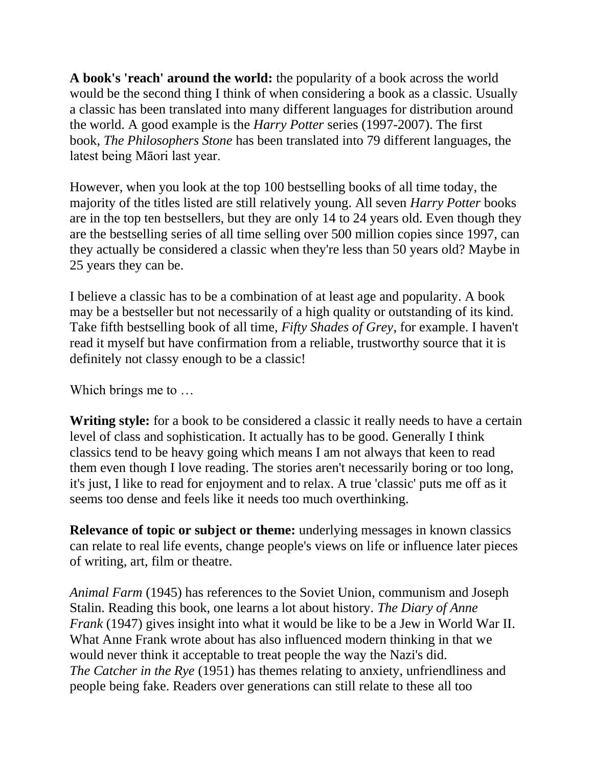**A book's 'reach' around the world:** the popularity of a book across the world would be the second thing I think of when considering a book as a classic. Usually a classic has been translated into many different languages for distribution around the world. A good example is the *Harry Potter* series (1997-2007). The first book, *The Philosophers Stone* has been translated into 79 different languages, the latest being Māori last year.

However, when you look at the top 100 bestselling books of all time today, the majority of the titles listed are still relatively young. All seven *Harry Potter* books are in the top ten bestsellers, but they are only 14 to 24 years old. Even though they are the bestselling series of all time selling over 500 million copies since 1997, can they actually be considered a classic when they're less than 50 years old? Maybe in 25 years they can be.

I believe a classic has to be a combination of at least age and popularity. A book may be a bestseller but not necessarily of a high quality or outstanding of its kind. Take fifth bestselling book of all time, *Fifty Shades of Grey*, for example. I haven't read it myself but have confirmation from a reliable, trustworthy source that it is definitely not classy enough to be a classic!

Which brings me to …

**Writing style:** for a book to be considered a classic it really needs to have a certain level of class and sophistication. It actually has to be good. Generally I think classics tend to be heavy going which means I am not always that keen to read them even though I love reading. The stories aren't necessarily boring or too long, it's just, I like to read for enjoyment and to relax. A true 'classic' puts me off as it seems too dense and feels like it needs too much overthinking.

**Relevance of topic or subject or theme:** underlying messages in known classics can relate to real life events, change people's views on life or influence later pieces of writing, art, film or theatre.

*Animal Farm* (1945) has references to the Soviet Union, communism and Joseph Stalin. Reading this book, one learns a lot about history. *The Diary of Anne Frank* (1947) gives insight into what it would be like to be a Jew in World War II. What Anne Frank wrote about has also influenced modern thinking in that we would never think it acceptable to treat people the way the Nazi's did. *The Catcher in the Rye* (1951) has themes relating to anxiety, unfriendliness and people being fake. Readers over generations can still relate to these all too